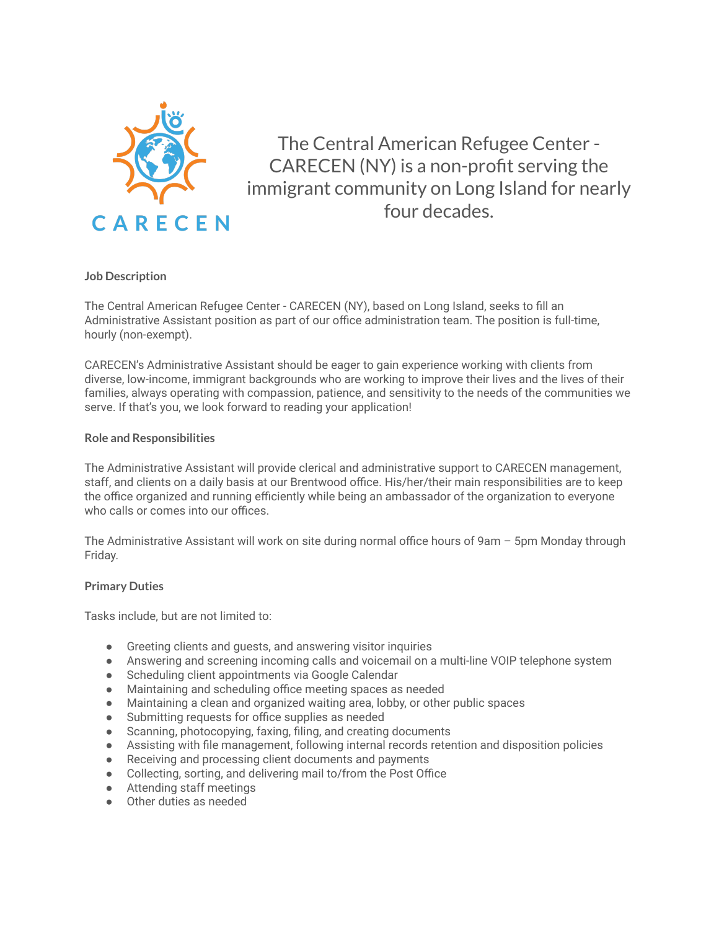

The Central American Refugee Center - CARECEN (NY) is a non-profit serving the immigrant community on Long Island for nearly four decades.

# **Job Description**

The Central American Refugee Center - CARECEN (NY), based on Long Island, seeks to fill an Administrative Assistant position as part of our office administration team. The position is full-time, hourly (non-exempt).

CARECEN's Administrative Assistant should be eager to gain experience working with clients from diverse, low-income, immigrant backgrounds who are working to improve their lives and the lives of their families, always operating with compassion, patience, and sensitivity to the needs of the communities we serve. If that's you, we look forward to reading your application!

### **Role and Responsibilities**

The Administrative Assistant will provide clerical and administrative support to CARECEN management, staff, and clients on a daily basis at our Brentwood office. His/her/their main responsibilities are to keep the office organized and running efficiently while being an ambassador of the organization to everyone who calls or comes into our offices.

The Administrative Assistant will work on site during normal office hours of 9am – 5pm Monday through Friday.

### **Primary Duties**

Tasks include, but are not limited to:

- Greeting clients and guests, and answering visitor inquiries
- Answering and screening incoming calls and voicemail on a multi-line VOIP telephone system
- Scheduling client appointments via Google Calendar
- Maintaining and scheduling office meeting spaces as needed
- Maintaining a clean and organized waiting area, lobby, or other public spaces
- Submitting requests for office supplies as needed
- Scanning, photocopying, faxing, filing, and creating documents
- Assisting with file management, following internal records retention and disposition policies
- Receiving and processing client documents and payments
- Collecting, sorting, and delivering mail to/from the Post Office
- Attending staff meetings
- Other duties as needed